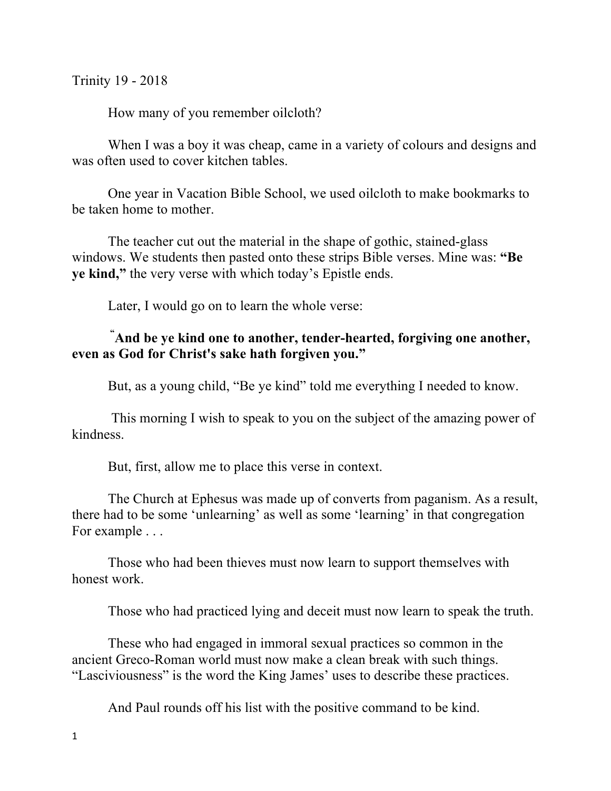Trinity 19 - 2018

How many of you remember oilcloth?

When I was a boy it was cheap, came in a variety of colours and designs and was often used to cover kitchen tables.

One year in Vacation Bible School, we used oilcloth to make bookmarks to be taken home to mother.

The teacher cut out the material in the shape of gothic, stained-glass windows. We students then pasted onto these strips Bible verses. Mine was: **"Be ye kind,"** the very verse with which today's Epistle ends.

Later, I would go on to learn the whole verse:

## **" And be ye kind one to another, tender-hearted, forgiving one another, even as God for Christ's sake hath forgiven you."**

But, as a young child, "Be ye kind" told me everything I needed to know.

This morning I wish to speak to you on the subject of the amazing power of kindness.

But, first, allow me to place this verse in context.

The Church at Ephesus was made up of converts from paganism. As a result, there had to be some 'unlearning' as well as some 'learning' in that congregation For example . . .

Those who had been thieves must now learn to support themselves with honest work.

Those who had practiced lying and deceit must now learn to speak the truth.

These who had engaged in immoral sexual practices so common in the ancient Greco-Roman world must now make a clean break with such things. "Lasciviousness" is the word the King James' uses to describe these practices.

And Paul rounds off his list with the positive command to be kind.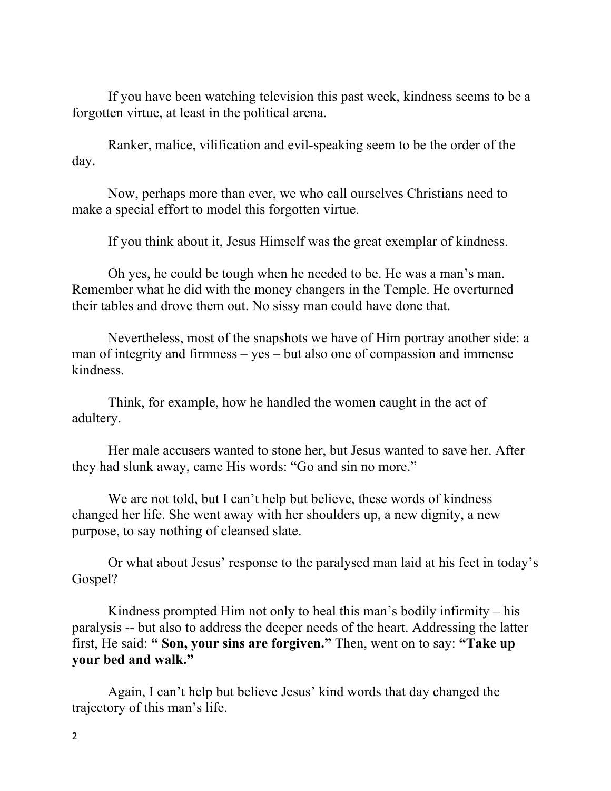If you have been watching television this past week, kindness seems to be a forgotten virtue, at least in the political arena.

Ranker, malice, vilification and evil-speaking seem to be the order of the day.

Now, perhaps more than ever, we who call ourselves Christians need to make a special effort to model this forgotten virtue.

If you think about it, Jesus Himself was the great exemplar of kindness.

Oh yes, he could be tough when he needed to be. He was a man's man. Remember what he did with the money changers in the Temple. He overturned their tables and drove them out. No sissy man could have done that.

Nevertheless, most of the snapshots we have of Him portray another side: a man of integrity and firmness – yes – but also one of compassion and immense kindness.

Think, for example, how he handled the women caught in the act of adultery.

Her male accusers wanted to stone her, but Jesus wanted to save her. After they had slunk away, came His words: "Go and sin no more."

We are not told, but I can't help but believe, these words of kindness changed her life. She went away with her shoulders up, a new dignity, a new purpose, to say nothing of cleansed slate.

Or what about Jesus' response to the paralysed man laid at his feet in today's Gospel?

Kindness prompted Him not only to heal this man's bodily infirmity – his paralysis -- but also to address the deeper needs of the heart. Addressing the latter first, He said: **" Son, your sins are forgiven."** Then, went on to say: **"Take up your bed and walk."**

Again, I can't help but believe Jesus' kind words that day changed the trajectory of this man's life.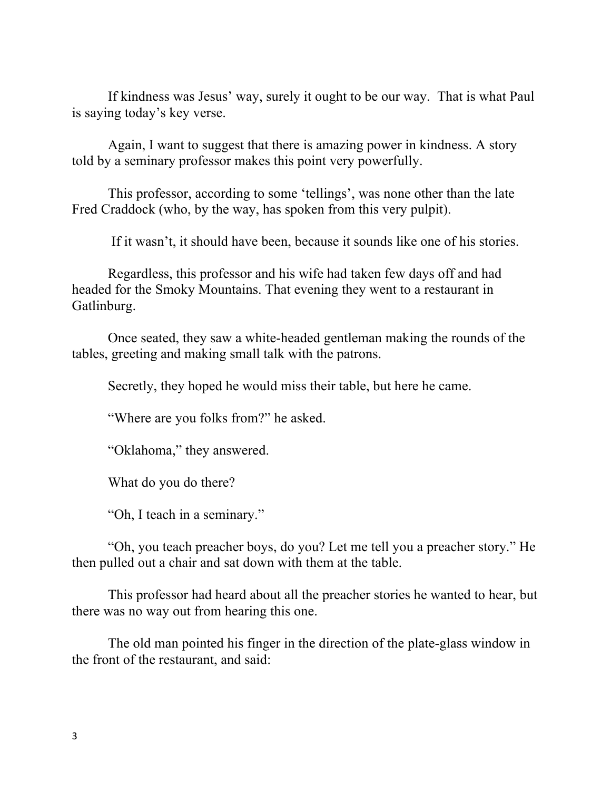If kindness was Jesus' way, surely it ought to be our way. That is what Paul is saying today's key verse.

Again, I want to suggest that there is amazing power in kindness. A story told by a seminary professor makes this point very powerfully.

This professor, according to some 'tellings', was none other than the late Fred Craddock (who, by the way, has spoken from this very pulpit).

If it wasn't, it should have been, because it sounds like one of his stories.

Regardless, this professor and his wife had taken few days off and had headed for the Smoky Mountains. That evening they went to a restaurant in Gatlinburg.

Once seated, they saw a white-headed gentleman making the rounds of the tables, greeting and making small talk with the patrons.

Secretly, they hoped he would miss their table, but here he came.

"Where are you folks from?" he asked.

"Oklahoma," they answered.

What do you do there?

"Oh, I teach in a seminary."

"Oh, you teach preacher boys, do you? Let me tell you a preacher story." He then pulled out a chair and sat down with them at the table.

This professor had heard about all the preacher stories he wanted to hear, but there was no way out from hearing this one.

The old man pointed his finger in the direction of the plate-glass window in the front of the restaurant, and said: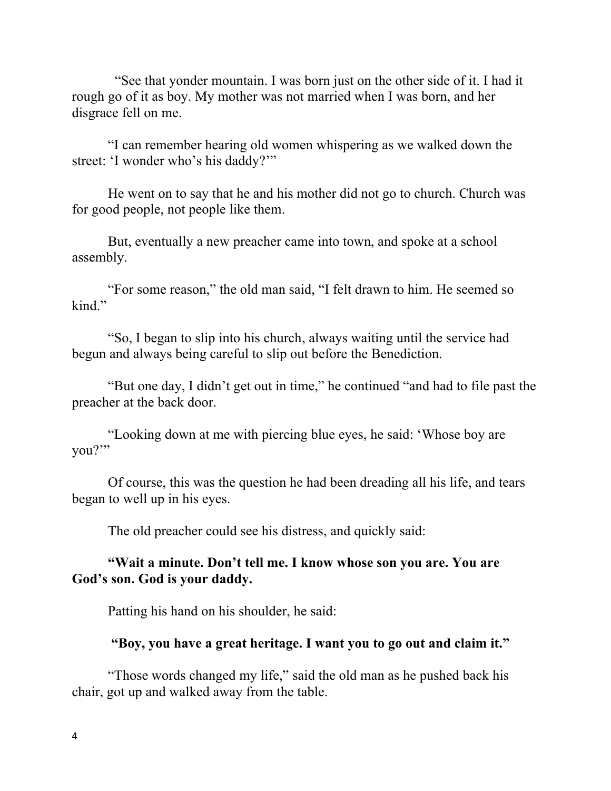"See that yonder mountain. I was born just on the other side of it. I had it rough go of it as boy. My mother was not married when I was born, and her disgrace fell on me.

"I can remember hearing old women whispering as we walked down the street: 'I wonder who's his daddy?'"

He went on to say that he and his mother did not go to church. Church was for good people, not people like them.

But, eventually a new preacher came into town, and spoke at a school assembly.

"For some reason," the old man said, "I felt drawn to him. He seemed so kind."

"So, I began to slip into his church, always waiting until the service had begun and always being careful to slip out before the Benediction.

"But one day, I didn't get out in time," he continued "and had to file past the preacher at the back door.

"Looking down at me with piercing blue eyes, he said: 'Whose boy are you?'"

Of course, this was the question he had been dreading all his life, and tears began to well up in his eyes.

The old preacher could see his distress, and quickly said:

## **"Wait a minute. Don't tell me. I know whose son you are. You are God's son. God is your daddy.**

Patting his hand on his shoulder, he said:

## **"Boy, you have a great heritage. I want you to go out and claim it."**

"Those words changed my life," said the old man as he pushed back his chair, got up and walked away from the table.